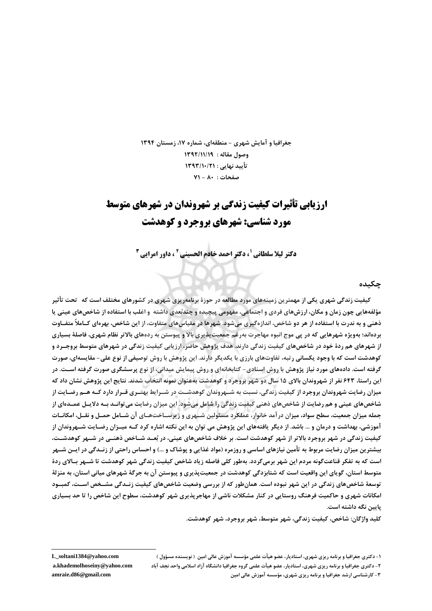جغرافیا و آمایش شهری - منطقهای، شماره ۱۷، زمستان ۱۳۹۴ وصول مقاله : ١٣٩٢/١١/١٩ تأييد نهايي : ١٣٩٣/١٠/٢١ صفحات : ٨٠ - ٧١

# **ارزیابی تأثیرات کیفیت زندگی بر شهروندان در شهرهای متوسط** مورد شناسی: شهرهای بروجرد و کوهدشت

**دکتر لیلا سلطانی 5 دکتر احمد خادم الحسینی 2 ، داور امرایی 3** 

چکیده

کیفیت زندگی شهری یکی از مهمترین زمینههای مورد مطالعه در حوزهٔ برنامهریزی شهری در کشورهای مختلف است که تحت تأثیر مؤلفههایی چون زمان و مکان، ارزشهای فردی و اجتماعی، مفهومی پیچیده و چندبُعدی داشته و اغلب با استفاده از شاخصهای عینی یا ذهنی و به ندرت با استفاده از هر دو شاخص، اندازهگیری میشود. شهرها در مقیاسهای متفاوت، از این شاخص، بهرهای کــاملأ متفــاوت بردهاند؛ بهویژه شهرهایی که در پی موج انبوه مهاجرت بهرغم جمعیتپذیری بالا و پیوستن به ردههای بالاتر نظام شهری، فاصلهٔ بسیاری از شهرهای هم ردهٔ خود در شاخصهای کیفیت زندگی دارند. هدف پژوهش حاضر، ارزیابی کیفیت زندگی در شهرهای متوسط بروجــرد و کوهدشت است که با وجود یکسانی رتبه، تفاوتهای بارزی با یکدیگر دارند. این پژوهش با روش توصیفی از نوع علی- مقایسهای، صورت گرفته است. دادههای مورد نیاز پژوهش با روش اسنادی- کتابخانهای و روش پیمایش میدانی، از نوع پرسشگری صورت گرفته اسـت. در این راستا، ۶۴۳ نفر از شهروندان بالای ۱۵ سال دو شهر بروجرد و کوهدشت بهعنوان نمونه انتخاب شدند. نتایج این پژوهش نشان داد که میزان رضایت شهروندان بروجرد از کیفیت زندگی، نسبت به شــهروندان کوهدشــت در شــرایط بهتــری قــرار دارد کــه هــم رضــایت از شاخصهای عینی و هم رضایت از شاخصهای ذهنی کیفیت زندگی را شامل میشود. این میزان رضایت می توانـد بـه دلایـل عمــدهای از جمله میزان جمعیت، سطح سواد، میزان در آمد خانوار، عملکرد مسئولین شــهری و زیرســاختهــای آن شــامل حمــل و نقــل، امکانــات آموزشي، بهداشت و درمان و … باشد. از ديگر يافتههاي اين پژوهش مي توان به اين نكته اشاره كرد كــه ميــزان رضــايت شــهروندان از کیفیت زندگی در شهر بروجرد بالاتر از شهر کوهدشت است. بر خلاف شاخصهای عینی، در بُعـد شــاخص ذهنــی در شــهر کوهدشــت، بیشترین میزان رضایت مربوط به تأمین نیازهای اساسی و روزمره (مواد غذایی و پوشاک و …) و احساس راحتی از زنـدگی در ایــن شــهر است که به تفکر قناعتگونه مردم این شهر برمیگردد. بهطور کلی فاصله زیاد شاخص کیفیت زندگی شهر کوهدشت تا شـهر بـالای ردهٔ متوسط استان، گویای این واقعیت است که شتابزدگی کوهدشت در جمعیت پذیری و پیوستن آن به جرگهٔ شهرهای میانی استان، به منزلهٔ توسعهٔ شاخصهای زندگی در این شهر نبوده است. همانطور که از بررسی وضعیت شاخصهای کیفیت زنـدگی مشـخص اسـت، کمبـود امکانات شهری و حاکمیت فرهنگ روستایی در کنار مشکلات ناشی از مهاجرپذیری شهر کوهدشت، سطوح این شاخص را تا حد بسیاری یایین نگه داشته است.

كليد واژگان: شاخص، كيفيت زندگي، شهر متوسط، شهر بروجرد، شهر كوهدشت.

۱- دکتری جغرافیا و برنامه ریزی شهری، استادیار، عضو هیأت علمی مؤسسه آموزش عالی امین ( نویسنده مسؤول ) ۲- دکتری جغرافیا و برنامه ریزی شهری، استادیار، عضو هیأت علمی گروه جغرافیا دانشگاه آزاد اسلامی واحد نجف آباد ۳- کارشناسی ارشد جغرافیا و برنامه ریزی شهری، مؤسسه آموزش عالی امین

L\_soltani1384@yahoo.com a.khademolhoseiny@yahoo.com amraie.d86@gmail.com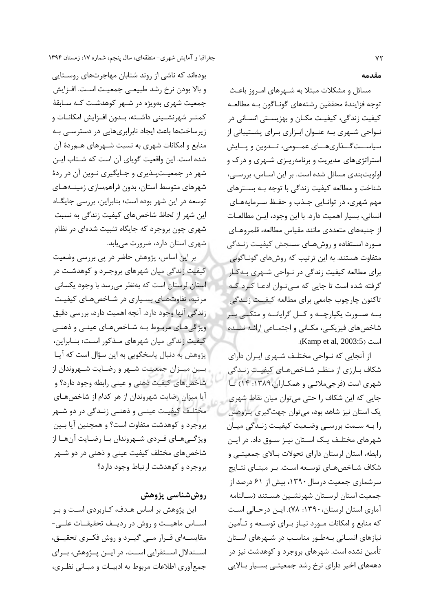مقدمه

مسائل و مشکلات مبتلا به شـهرهای امـروز باعـث توجه فزايندة محققين رشتههاي گونـاگون بـه مطالعـه کیفیت زندگی، کیفیـت مکـان و بهزیسـتی انسـانی در نــواحی شــهری بــه عنــوان ابــزاری بــرای پشــتیبانی از سیاســتگــذاریهــای عمــومی، تــدوین و پــایش استراتژیهای مدیریت و برنامهریـزی شـهری و درک و اولويتبندي مسائل شده است. بر اين اسـاس، بررسـي، شناخت و مطالعه کیفیت زندگی با توجه بـه بسـترهای مهم شهري، در توانـايي جـذب و حفـظ سـرمايههـاي انسانی، بسیار اهمیت دارد. با این وجود، ایـن مطالعـات از جنبههای متعددی مانند مقیاس مطالعه، قلمروهـای مورد استفاده و روشهای سنجش کیفیت زنیدگی متفاوت هستند. به این ترتیب که روشهای گونـاگونی برای مطالعه کیفیت زندگی در نـواحی شـهری بـهکـار گرفته شده است تا جایی که میتوان ادعـا کـرد کـه ۔<br>تاکنون چارچوب جامعی برای مطالعه کیفیـت زنـدگی بـه صــورت یکیارچــه و کــل گرایانــه و متکــی بــر شاخصهای فیزیکی، مکـانی و اجتمـاعی ارائـه نشـده .(Kamp et al, 2003:5)

از آنجایی که نـواحی مختلـف شـهری ایـران دارای شکاف بـارزي از منظـر شـاخصهـاي کيفيـت زنـدگي شهری است (فرجیملائی و همکاران،۱۳۸۹: ۱۴) تا جایی که این شکاف را حتی می توان میان نقاط شهری یک استان نیز شاهد بود، می توان جهت گیری پــژوهش را بـه سـمت بررسـی وضـعیت کیفیـت زنـدگی میـان شهرهای مختلـف یـک اسـتان نیـز سـوق داد. در ایـن رابطه، استان لرستان دارای تحولات بـالای جمعیتـی و شکاف شـاخصهـای توسـعه اسـت. بـر مبنـای نتـايج سرشماری جمعیت درسال ۱۳۹۰، بیش از ۶۱ درصد از جمعیت استان لرستان شهرنشـین هسـتند (سـالنامه آماري استان لرستان، ١٣٩٠: ٧٨). ايـن درحـالي اسـت که منابع و امکانات مـورد نیـاز بـرای توسـعه و تـأمین نیازهای انسـانی بـهطـور مناسـب در شـهرهای اسـتان تأمین نشده است. شهرهای بروجرد و کوهدشت نیز در دهههای اخیر دارای نرخ رشد جمعیتـی بسـیار بـالایی

بودهاند که ناشی از روند شتابان مهاجرتهای روسـتایی و بالا بودن نرخ رشد طبيعي جمعيت است. افـزايش جمعیت شهری بهویژه در شـهر کوهدشـت کـه سـابقهٔ كمتـر شهرنشــيني داشــته، بـدون افــزايش امكانــات و زیرساختها باعث ایجاد نابرابریهایی در دسترسـی بـه منابع و امکانات شهری به نسبت شـهرهای هـم٫دهٔ آن شده است. این واقعیت گویای آن است که شـتاب ایـن شهر در جمعیـتیـذیری و جـایگیری نـوین آن در ردهٔ شهرهای متوسط استان، بدون فراهمسازی زمینـههـای توسعه در این شهر بوده است؛ بنابراین، بررسی جایگاه این شهر از لحاظ شاخصهای کیفیت زندگی به نسبت شهری چون بروجرد که جایگاه تثبیت شدهای در نظام شهری استان دارد، ضرورت می یابد.

بر این اساس، پژوهش حاضر در پی بررسی وضعیت کیفیت زندگی میان شهرهای بروجـرد و کوهدشـت در استان لرستان است که بهنظر میرسد با وجود یکسانی مرتبه، تفاوتهـای بسـیاری در شـاخصهـای کیفیـت زندگی آنها وجود دارد. آنچه اهمیت دارد، بررسی دقیق ویژگیهای مربوط بـه شـاخصهـای عینـی و ذهنـی كيفيت زندگي ميان شهرهاي مـذكور اسـت؛ بنـابراين، يژوهش به دنبال ياسخگويي به اين سؤال است كه آيـا بين ميـزان جمعيـت شـهر و رضـايت شـهروندان از شاخصهای کیفیت ذهنی و عینی رابطه وجود دارد؟ و آیا میزان رضایت شهروندان از هر کدام از شاخصهای مختلـف کیفیـت عینـی و ذهنـی زنـدگی در دو شـهر بروجرد و کوهدشت متفاوت است؟ و همچنین آیا بـین ویژگیههای فـردی شـهروندان بـا رضـایت آنهـا از شاخصهای مختلف کیفیت عینی و ذهنی در دو شــهر بروجرد و كوهدشت ارتباط وجود دارد؟

### روششناسی پژوهش

این پژوهش بر اساس هـدف، کـاربردی اسـت و بـر اســاس ماهيــت و روش در رديــف تحقيقــات علــى-مقایسـهای قــرار مــی گیــرد و روش فکــری تحقیــق، اســتدلال اســتقرايي اســت. در ايــن يــژوهش، بــراي جمع آوري اطلاعات مربوط به ادبيـات و مبــاني نظـري،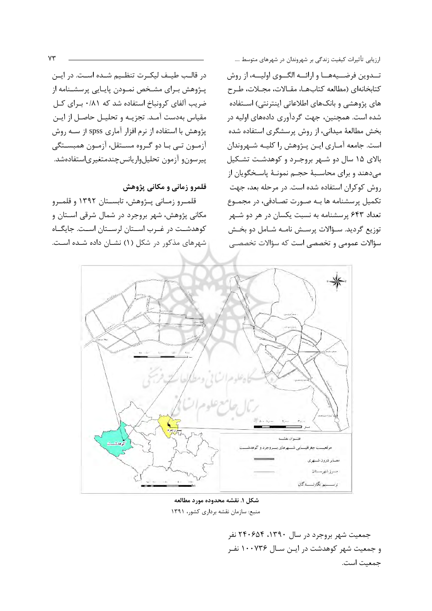تــدوین فرضــیههــا و ارائــه الگــوی اولیــه، از روش كتابخانهاى (مطالعه كتابها، مقالات، مجلات، طرح های پژوهشی و بانکهای اطلاعاتی اینترنتی) اسـتفاده شده است. همچنین، جهت گردآوری دادههای اولیه در بخش مطالعهٔ میدانی، از روش پرسشگری استفاده شده است. جامعه آمـاري ايـن پـژوهش را كليـه شـهروندان بالای ۱۵ سال دو شـهر بروجـرد و کوهدشـت تشـکیل میدهند و برای محاسـبهٔ حجـم نمونـهٔ پاسـخگویان از روش کوکران استفاده شده است. در مرحله بعد، جهت تکمیل پرسشنامه ها بـه صورت تصـادفی، در مجمـوع تعداد ۶۴۳ پرسشنامه به نسبت یکسان در هر دو شهر توزيع گرديد. سـؤالات پرسـش نامـه شـامل دو بخـش سؤالات عمومی و تخصصی است که سؤالات تخصصے

در قالـب طيــف ليكــرت تنظــيم شــده اســت. در ايــن پـژوهش بـراي مشـخص نمـودن پايـايي پرسشـنامه از ضریب آلفای کرونباخ استفاده شد که ۰/۸۱ برای کل مقياس بهدست آمـد. تجزيـه و تحليـل حاصـل از ايـن پژوهش با استفاده از نرم افزار آماری spss از سـه روش آزمــون تــي بــا دو گــروه مســتقل، آزمــون همبســتگي پیرسون و آزمون تحلیلواریانسچندمتغیریاستفادهشد.

#### قلمرو زمانی و مکانی پژوهش

قلمـرو زمـاني پــژوهش، تابســتان ١٣٩٢ و قلمــرو مکانی پژوهش، شهر بروجرد در شمال شرقی اسـتان و کوهدشــت در غــرب اســتان لرســتان اســت. جايگــاه شهرهای مذکور در شکل (۱) نشـان داده شـده اسـت.



شكل ١. نقشه محدوده مورد مطالعه منبع: سازمان نقشه برداری کشور، ١٣٩١

جمعیت شهر بروجرد در سال ۱۳۹۰، ۲۴۰۶۵۴ نفر و جمعیت شهر کوهدشت در ایـن سـال ۱۰۰۷۳۶ نفـ جمعیت است.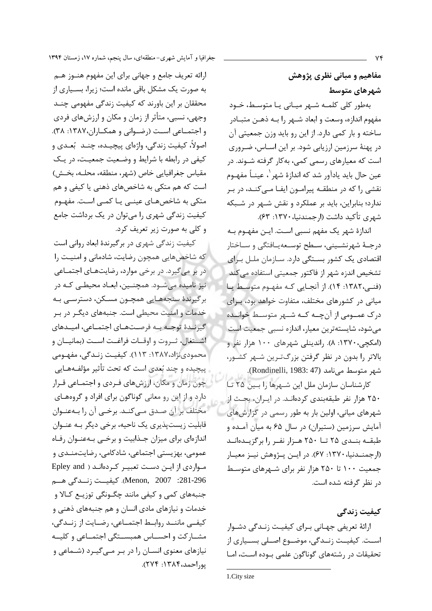مفاهیم و مبانی نظری پژوهش شهرهای متوسط

بهطور کلی کلمـه شـهر میـانی یـا متوسـط، خـود مفهوم اندازه، وسعت و ابعاد شـهر را بـه ذهـن متبــادر ساخته و بار کمی دارد. از این رو باید وزن جمعیتی آن در پهنهٔ سرزمین ارزیابی شود. بر این اسـاس، ضـروری است که معیارهای رسمی کمی، بهکار گرفته شـوند. در عين حال بايد يادآور شد كه اندازهٔ شهر ٰ، عينــاً مفهــوم نقشی را که در منطقـه پیرامـون ایفـا مـی کنـد، در بـر ندارد؛ بنابراین، باید بر عملکرد و نقش شـهر در شـبکه شهري تأكيد داشت (ارجمندنيا، ١٣٧٠: ۶۳).

اندازهٔ شهر یک مفهم نسبی است. ایـن مفهـوم بـه درجـهٔ شهرنشــینی، سـطح توسـعهیـافتگی و سـاختار اقتصادی یک کشور بستگی دارد. ســازمان ملــل بـرای تشخیص اندزه شهر از فاکتور جمعیتی استفاده میکند (فنے،١٣٨٢: ١۴). از آنجایی کـه مفهـوم متوسـط یـا میانی در کشورهای مختلف، متفاوت خواهد بود، بـرای درک عمــومی از آن چــه کــه شــهر متوسـط خوانــده می شود، شایستهترین معیار، اندازه نسبی جمعیت است (امکچی، ۱۳۷۰: ۸). راندینلی شهرهای ۱۰۰ هزار نفر و بالاتر را بدون در نظر گرفتن بزرگترین شـهر کشـور، شهر متوسط مي نامد (Rondinelli, 1983: 47).

كارشناسان سازمان ملل اين شـهرها را بـين ٢۵ تـا ۲۵۰ هزار نفر طبقهبندی کردهانـد. در ایـران، بحـث از شهرهای میانی، اولین بار به طور رسمی در گزارشهای آمایش سرزمین (ستیران) در سال ۶۵ به میان آمده و طبقـه بنـدى ٢٥ تــا ٢٥٠ هـزار نفـر را برگزيــدهانــد (ارجمنــدنیا، ۱۳۷۰: ۶۷). در ایــن پــژوهش نیــز معیــار جمعیت ۱۰۰ تا ۲۵۰ هزار نفر برای شـهرهای متوسـط د, نظر گرفته شده است.

کیفیت زندگے،

ارائهٔ تعریفی جهـانی بـرای کیفیـت زنـدگی دشـوار اسـت. کیفیـت زنـدگی، موضـوع اصـلی بسـیاری از تحقیقات در رشتههای گوناگون علمی بوده است، امـا

ارائه تعریف جامع و جهانی برای این مفهوم هنــوز هــم به صورت یک مشکل باقی مانده است؛ زیرا، بسـیاری از محققان بر این باورند که کیفیت زندگی مفهومی چنـد وجهي، نسبي، متأثر از زمان و مكان و ارزشهاي فردي و اجتمــاعي اســت (رضــواني و همكــاران،١٣٨٧: ٣٨). اصولاً، کیفیت زندگی، واژهای پیچیـده، چنــد بُعــدی و کیفی در رابطه با شرایط و وضعیت جمعیت، در یک مقياس جغرافيايي خاص (شهر، منطقه، محلـه، بخـش) است که هم متکی به شاخصهای ذهنی یا کیفی و هم متکی به شاخصهـای عینـی یـا کمـی اسـت. مفهـوم کیفیت زندگی شهری را میتوان در یک برداشت جامع و کلی به صورت زیر تعریف کرد.

کیفیت زندگی شهری در برگیرندهٔ ابعاد روانی است که شاخصهایی همچون رضایت، شادمانی و امنیت را در بر میگیرد. در برخی موارد، رضایتهای اجتمـاعی نیز نامیده میشود. همچنـین، ابعـاد محیطـی کـه در برگیرندهٔ سنجههـایی همچـون مسـکن، دسترسـی بـه خدمات و امنیت محیطی است. جنبههای دیگـر در بـر گیرنـدهٔ توجـه بـه فرصـتهـای اجتمـاعی، امیـدهای اشتغال، ثـروت و اوقـات فراغـت اسـت (بمانيــان و محمودي نژاد،۱۳۸۷: ۱۱۳). کیفیـت زنـدگی، مفهـومی ييچيده و چند بُعدي است كه تحت تأثير مؤلفـههـايي چون زمان و مکان، ارزشهای فـردی و اجتمـاعی قـرار دارد و از این رو معانی گوناگون برای افراد و گروههـای مختلف بر آن صدق مـىكنـد. برخـى آن را بـهعنـوان قابلیت زیستپذیری یک ناحیه، برخی دیگر بـه عنـوان اندازهای برای میزان جذابیت و برخی بهعنوان رفاه عمومي، بهزيستي اجتماعي، شادكامي، رضايتمنـدي و مواردی از این دست تعبیر کردهاند ( Epley and 281-296: Menon, 2007). كيفيــت زنـــدگي هـــم جنبههای کمی و کیفی مانند چگـونگی توزیــع کـالا و خدمات و نیازهای مادی انسان و هم جنبههای ذهنی و كيفــى ماننــد روابــط اجتمــاعى، رضــايت از زنــدگى، مشباركت واحسياس همبسيتكي اجتمياعي وكليبه نیازهای معنوی انسـان را در بـر مـی گیـرد (شـماعی و يوراحمد،١٣٨٤: ٢٧٤).

<sup>1.</sup>City size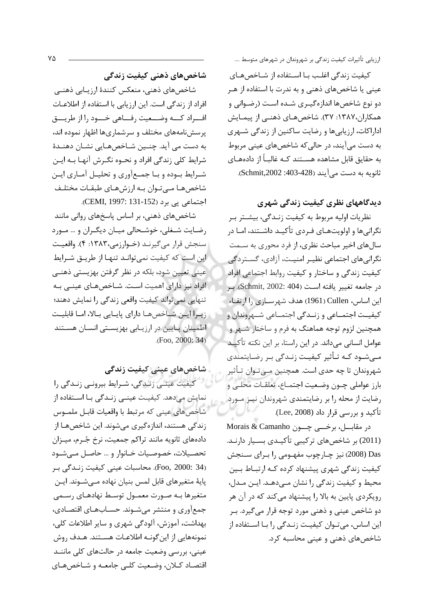کیفیت زندگی اغلب بـا اسـتفاده از شـاخصهـای عینی یا شاخصهای ذهنی و به ندرت با استفاده از هـر دو نوع شاخصها اندازهگیری شـده اسـت (رضـوانی و همکاران،۱۳۸۷: ۳۷). شاخصهـای ذهنـی از پیمـایش اداراکات، ارزیابی ها و رضایت ساکنین از زندگی شــهری به دست میآیند، در حالیکه شاخصهای عینی مربوط به حقایق قابل مشاهده هسـتند کـه غالبـاً از دادههـای ثانويه به دست مي آيند (428-403: Schmit,2002).

## دیدگاههای نظری کیفیت زندگی شهری

نظريات اوليه مربوط به كيفيت زنـدگي، بيشـتر بـر نگرانیها و اولویتهـای فـردی تأکیـد داشــتند، امـا در سالهای اخیر مباحث نظری، از فرد محوری به ســمت نگرانیهای اجتماعی نظیـر امنیـت، آزادی، گســتردگی کیفیت زندگی و ساختار و کیفیت روابط اجتماعی افراد در جامعه تغيير يافته است (Schmit, 2002: 404). بر این اساس، Cullen (1961) هدف شهرسازی را ارتقاء کیفیـت اجتمــاعی و زنــدگی اجتمــاعی شــهروندان و همچنین لزوم توجه هماهنگ به فرم و ساختار شـهر و عوامل انسانی میداند. در این راستا، بر این نکته تأکیـد مـیشـود کـه تـأثیر کیفیـت زنـدگی بـر رضـایتمندی شهروندان تا چه حدی است. همچنین مـیِ تـوان تـأثیر بارز عواملي چــون وضـعيت اجتمــاع، تعلقــات محلــي و رضایت از محله را بر رضایتمندی شهروندان نیز مورد تأكيد و بررسي قرار داد (Lee, 2008).

در مقابــل، برخــی چــون Morais & Camanho (2011) بر شاخصهای ترکیبی تأکیـدی بسـیار دارنـد. Das (2008) نیز چـارچوب مفهـومی را بـرای سـنجش کیفیت زندگی شهری پیشنهاد کرده کـه ارتبـاط بـین محيط و كيفيت زندگي را نشان مے دهـد. ايـن مـدل، رویکردی پایین به بالا را پیشنهاد می کند که در آن هر دو شاخص عینی و ذهنی مورد توجه قرار میگیرد. بـر این اساس، میتوان کیفیت زنـدگی را بـا اسـتفاده از شاخصهای ذهنی و عینی محاسبه کرد.

شاخصهای ذهنی کیفیت زندگی

شاخصهاي ذهني، منعكس كنندهٔ ارزيـابي ذهنـي افراد از زندگی است. این ارزیابی با استفاده از اطلاعـات افسراد كسه وضبعيت رفساهي خسود را از طريسق پرسشنامههای مختلف و سرشماریها اظهار نموده اند، به دست می آید. چنـین شـاخصهـایی نشـان دهنـدهٔ شرایط کلی زندگی افراد و نحــوه نگــرش آنهــا بــه ایــن شـرايط بـوده و بـا جمـع آوري و تحليـل آمـاري ايـن شاخصهـا مـىتـوان بـه ارزشهـاي طبقـات مختلـف اجتماعي يي برد (CEMI, 1997: 131-152).

شاخصهای ذهنی، بر اساس پاسخهای روانی مانند رضایت شـغلی، خوشـحالی میـان دیگـران و … مـورد سنجش قرار مي گيرنـد (خـوارزمي،١٣٨٣: ۴). واقعيـت این است که کیفیت نمی توانـد تنهـا از طریـق شـرایط عینی تعیین شود، بلکه در نظر گرفتن بهزیستی ذهنـی افراد نیز دارای اهمیت است. شـاخصهـای عینـی بـه تنهایی نمی تواند کیفیت واقعی زندگی را نمایش دهند؛ زیـرا ایـن شـاخصهـا دارای پایـایی بـالا، امـا قابلیـت اطمینان پـایین در ارزیـابی بهزیسـتی انسـان هسـتند  $(Foo, 2000; 34)$ 

شاخصهای عینی کیفیت زندگی

کیفیت عینـی زنـدگی، شـرایط بیرونـی زنـدگی را نمایش میدهد. کیفیت عینـی زنـدگی بـا اسـتفاده از شاخصهاي عيني كه مرتبط با واقعيات قابـل ملمـوس زندگی هستند، اندازهگیری می شوند. این شاخص هـا از دادههای ثانویه مانند تراکم جمعیت، نرخ جُـرم، میـزان تحصيلات، خصوصيات خـانوار و ... حاصـل مـى شـود (Foo, 2000: 34). محاسبات عینی کیفیت زنـدگی بـر پايهٔ متغيرهاي قابل لمس بنيان نهاده مـيشـوند. ايـن متغیرها بـه صـورت معمـول توسـط نهادهـای رسـمی جمعآوری و منتشر میشـوند. حسـابهـای اقتصـادی، بهداشت، آموزش، آلودگی شهری و سایر اطلاعات کلی، نمونههایی از این گونــه اطلاعـات هســتند. هــدف روش عینی، بررسی وضعیت جامعه در حالتهای کلی ماننـد اقتصاد كـلان، وضعيت كلـى جامعـه و شـاخصهـاى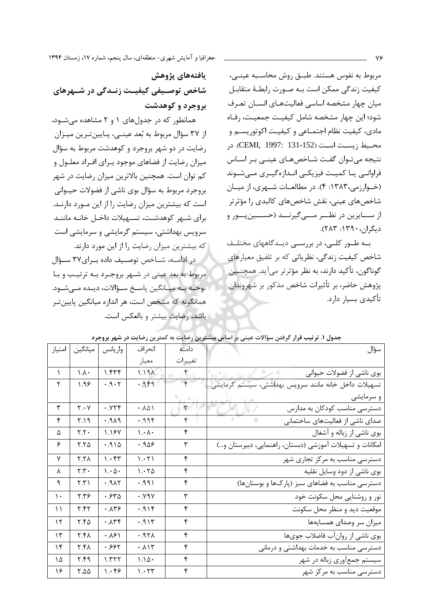مربوط به نفوس هستند. طبـق روش محاسـبه عينـى، كيفيت زندگي ممكن است بـه صـورت رابطـهٔ متقابـل میان چهار مشخصه اساسی فعالیتهـای انسـان تعـرف شود؛ این چهار مشخصه شامل کیفیت جمعیت، رفـاه مادي، کيفيت نظام اجتمــاعي و کيفيــت اکوتوريســم و محيط زيست است (CEMI, 1997: 131-152). در نتیجه میتوان گفت شـاخصهـای عینـی بـر اسـاس فراوانے یا کمیت فیزیکے انـدازہگیـری مـیشـوند (خوارزمی، ۱۳۸۳: ۴). در مطالعات شـهری، از میـان شاخصهای عینی، نقش شاخصهای کالبدی را مؤثرتر از ســـايرين در نظـــر مــــي¢يرنـــد (حســـين بـــور و دیگران، ۱۳۹۰: ۲۸۳).

به طور کلبی، در بررسبی دیدگاههای مختلف شاخص کیفیت زندگی، نظریاتی که بر تلفیق معیارهای گوناگون، تأکید دارند، به نظر مؤثرتر میآید. همچنــین پژوهش حاضر، بر تأثيرات شاخص مذكور بر شهروندان تأكيدي بسيار دارد.

يافتەهاي يژوهش شاخص توصـیفی کیفیـت زنـدگی در شـهرهای بروجرد و کوهدشت

همانطور که در جدولهای ۱ و ۲ مشاهده میشود، از ۳۷ سؤال مربوط به بُعد عينــي، پــايينتـرين ميــزان رضایت در دو شهر بروجرد و کوهدشت مربوط به سؤال میزان رضایت از فضاهای موجود بـرای افـراد معلـول و کم توان است. همچنین بالاترین میزان رضایت در شهر بروجرد مربوط به سؤال بوي ناشي از فضولات حيــواني است که بیشترین میزان رضایت را از این مـورد دارنـد. برای شـهر کوهدشـت، تسـهیلات داخـل خانـه ماننـد سرویس بهداشتی، سیستم گرمایشی و سرمایشی است که بیشترین میزان رضایت را از این مورد دارند.

در ادامــه، شــاخص توصــيف داده بــراي٢٧ ســؤال مربوط به بعد عيني در شـهر بروجـرد بـه ترتيـب و بـا توجـه بـه ميـانگين ياسـخ سـؤالات، ديـده مـي شـود. همانگونه که مشخص است، هر اندازه میانگین پایین تـر باشد، رضایت بیشتر و بالعکس است.

| امتياز    | ميانگين                       | واريانس                         | انحراف                  | دامنه        | سؤال                                                     |
|-----------|-------------------------------|---------------------------------|-------------------------|--------------|----------------------------------------------------------|
|           |                               |                                 | معيار                   | تغييرات      |                                                          |
| $\lambda$ | $\Lambda$ .                   | 1.555                           | 1.191                   | $\epsilon$   | بوی ناشی از فضولات حیوانی                                |
| ۲         | 9.99                          | .9.7                            | .949                    | $\mathbf{r}$ | تسهيلات داخل خانه مانند سرويس بهداشتي، سيستم گرمايشي     |
|           |                               |                                 |                         |              | و سرمایشی                                                |
| ٣         | $Y \cdot Y$                   | .779                            | .101                    | ٣            | دسترسی مناسب کودکان به مدارس                             |
| ۴         | Y.19                          | PAP.                            | .999                    | ۴            | صدای ناشی از فعالیتهای ساختمانی                          |
| ۵         | Y.Y                           | 1.187                           | $\lambda \cdot \lambda$ | ۴            | بوی ناشی از زباله و آشغال                                |
| ۶         | $Y.Y\Delta$                   | .910                            | ۹۵۶.۰                   | ٣            | امکانات و تسهیلات آموزشی (دبستان، راهنمایی، دبیرستان و…) |
| ٧         | <b>Y.YA</b>                   | $\mathcal{N} \cdot \mathcal{F}$ | 1.551                   | ۴            | دسترسی مناسب به مرکز تجاری شهر                           |
| λ         | $\mathbf{y} \cdot \mathbf{y}$ | $\cdot \Delta$                  | 1.570                   | ۴            | بوی ناشی از دود وسایل نقلیه                              |
| ٩         | $\mathsf{r}.\mathsf{r}$       | .915                            | .991                    | ۴            | دسترسی مناسب به فضاهای سبز (پارکها و بوستانها)           |
| ١.        | 7.79                          | .540                            | .99V                    | ٣            | نور و روشنایی محل سکونت خود                              |
| $\lambda$ | Y.55                          | $. \lambda$ ۳۶                  | .919                    | ۴            | موقعیت دید و منظر محل سکونت                              |
| ۱۲        | $Y.f\Delta$                   | $. \lambda r f$                 | .915                    | ۴            | میزان سر وصدای همسایهها                                  |
| ۱۳        | ۲.۴۸                          | .181                            | .95 <sub>h</sub>        | ۴            | بوی ناشی از روانآب فاضلاب جویها                          |
| ۱۴        | ۲.۴۸                          | .995                            | .117                    | ۴            | دسترسی مناسب به خدمات بهداشتی و درمانی                   |
| ١۵        | ۲.۴۹                          | $\lambda$ . $\mu$ $\tau$        | $1.1\Delta$             | ۴            | سیستم جمعآوری زباله در شهر                               |
| ۱۶        | $Y.\Delta \Delta$             | $\cdot$ ۴۶                      | 1.57                    | ۴            | دسترسی مناسب به مرکز شهر                                 |

جدول ۱. ترتیب قرار گرفتن سؤالات عینی بر اساس بیشترین رضایت به کمترین رضایت در شهر بروجرد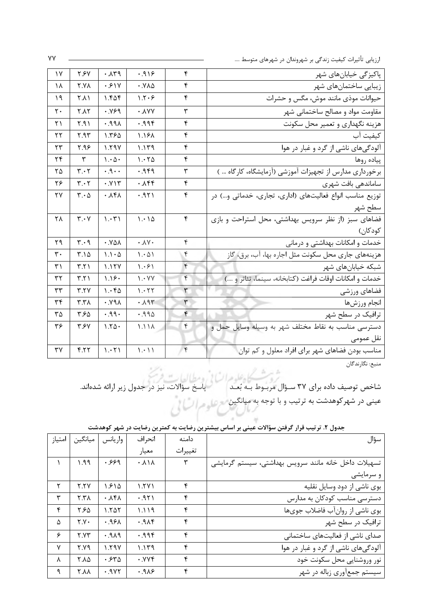| پاکیزگی خیابانهای شهر                                    | ۴              | .919                            | .14                             | ۲.۶۷                          | $\gamma$ |
|----------------------------------------------------------|----------------|---------------------------------|---------------------------------|-------------------------------|----------|
| زیبایی ساختمانهای شهر                                    | ۴              | ۰.۷۸۵                           | .51V                            | <b>Y.YA</b>                   | ۱۸       |
| حیوانات موذی مانند موش، مگس و حشرات                      | ۴              | 1.7.9                           | ۱.۴۵۴                           | ۲.۸۱                          | ۱۹       |
| مقاومت مواد و مصالح ساختمانی شهر                         | ٣              | $\cdot$ $\lambda$ Y Y           | .999                            | <b>Y.AY</b>                   | ٢٠       |
| هزینه نگهداری و تعمیر محل سکونت                          | ۴              | .99f                            | $.99\lambda$                    | Y.91                          | ۲۱       |
| كيفيت آب                                                 | ۴              | 1.181                           | 1.56                            | ۲.۹۳                          | ۲۲       |
| آلودگیهای ناشی از گرد و غبار در هوا                      | ۴              | 1.149                           | 1.59V                           | 7.98                          | ۲۳       |
| پياده روها                                               | ۴              | 1.570                           | $\mathcal{N} \cdot \mathcal{A}$ | ٣                             | ۲۴       |
| برخورداری مدارس از تجهیزات آموزشی (آزمایشگاه، کارگاه … ) | ٣              | ۴۹. ۰                           | $\cdot$ . $9 \cdot \cdot$       | $\mathbf{r} \cdot \mathbf{r}$ | ۲۵       |
| ساماندهی بافت شهری                                       | ۴              | ۰۸۴۴                            | . YY                            | $\mathbf{r} \cdot \mathbf{r}$ | ۲۶       |
| توزیع مناسب انواع فعالیتهای (اداری، تجاری، خدماتی و) در  | ۴              | .951                            | $. \lambda$ ۴۸                  | $\mathbf{r} \cdot \mathbf{r}$ | ۲۷       |
| سطح شهر                                                  |                |                                 |                                 |                               |          |
| فضاهای سبز (از نظر سرویس بهداشتی، محل استراحت و بازی     | ۴              | 1.00                            | $\mathcal{N} \cdot \mathcal{N}$ | $\mathbf{r} \cdot \mathbf{v}$ | ٢٨       |
| كودكان)                                                  |                |                                 |                                 |                               |          |
| خدمات و امکانات بهداشتی و درمانی                         | ۴              | $\cdot \Lambda V \cdot$         | .84                             | $\mathbf{r} \cdot \mathbf{q}$ | ۲۹       |
| هزینههای جاری محل سکونت مثل اجاره بها، آب، برق، گاز      | ۴              | 1.01                            | $1.1 - \Delta$                  | ۳.۱۵                          | ٣٠       |
| شبکه خیابانهای شهر                                       | ۴              | 1.691                           | 1.15Y                           | $\mathsf{r}.\mathsf{r}$       | ۳۱       |
| خدمات و امكانات اوقات فراغت (كتابخانه، سينما، تئاتر و )  | ۴              | $\mathcal{N} \cdot \mathcal{N}$ | 1.18.                           | $\mathsf{r}.\mathsf{r}$       | ۳۲       |
| فضاهاي ورزشي                                             | ٣              | 1.577                           | 1.66                            | Y.7V                          | ٣٣       |
| انجام ورزشها                                             | ٣              | .195                            | .99 <sub>A</sub>                | X,Y                           | ۳۴       |
| ترافیک در سطح شهر                                        | ۴              | .990                            | .99.                            | ۳.۶۵                          | ۳۵       |
| دسترسی مناسب به نقاط مختلف شهر به وسیله وسایل حمل و      | ۴              | 1.11 <sub>A</sub>               | $1.70 -$                        | <b>٣.۶</b>                    | ۳۶       |
| نقل عمومي                                                |                |                                 |                                 |                               |          |
| مناسب بودن فضاهای شهر برای افراد معلول و کم توان         | $\mathfrak{f}$ | $\langle \cdot   \cdot \rangle$ | 1.71                            | 5.77                          | ٣٧       |

منبع: نگارندگان

عینی در شهرکوهدشت به ترتیب و با توجه به میانگین مع علوم السائی<br>.

| امتياز       | ميانگين     | واريانس                   | انحر اف                           | دامنه   | سؤال                                                 |
|--------------|-------------|---------------------------|-----------------------------------|---------|------------------------------------------------------|
|              |             |                           | معيار                             | تغييرات |                                                      |
|              | ۹۹. ۱       | .999                      | $\cdot \Lambda \setminus \Lambda$ | ٣       | تسهیلات داخل خانه مانند سرویس بهداشتی، سیستم گرمایشی |
|              |             |                           |                                   |         | و سرمایشی                                            |
| ۲            | Y.YV        | ۱.۶۱۵                     | $\frac{1.5}{1.1}$                 | ۴       | بوی ناشی از دود وسایل نقلیه                          |
| ٣            | X,Y         | $\cdot \lambda f \lambda$ | .951                              | ۴       | دسترسی مناسب کودکان به مدارس                         |
| ۴            | ۲.۶۵        | 1.705                     | 1.119                             | ۴       | بوی ناشی از روانآب فاضلاب جویها                      |
| Δ            | Y.Y         | .95 <sub>A</sub>          | .9                                | ۴       | ترافیک در سطح شهر                                    |
| ۶            | Y.YY        | PAP.                      | .99f                              | ۴       | صدای ناشی از فعالیتهای ساختمانی                      |
| $\mathsf{v}$ | ۲.۷۹        | 1.79Y                     | 1.149                             | ۴       | آلودگیهای ناشی از گرد و غبار در هوا                  |
| λ            | ۲.۸۵        | ۰.۶۳۵                     | ۰.۷۷۴                             | ۴       | نور وروشنايي محل سكونت خود                           |
| ٩            | <b>Y.AA</b> | .9YY                      | .9A9                              | ۴       | سیستم جمعآوری زباله در شهر                           |

جدول ۲. ترتیب قرار گرفتن سؤالات عینی بر اساس بیشترین رضایت به کمترین رضایت در شهر کوهدشت

YY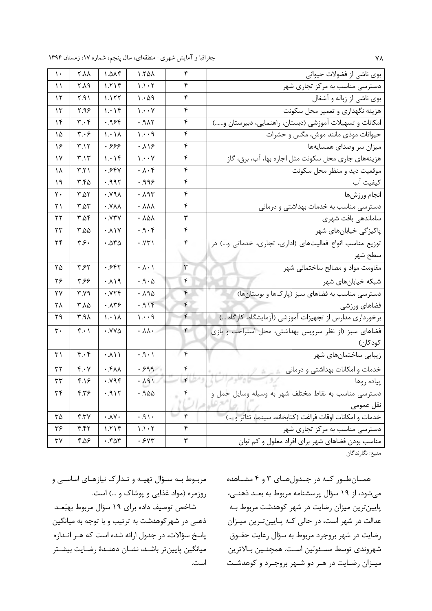جغرافیا و آمایش شهری-منطقهای، سال پنجم، شماره ۱۷، زمستان ۱۳۹۴

| بوی ناشی از فضولات حیوانی                                | ۴                    | 1.50 <sub>0</sub>                     | 7.01f                         | <b>Y.AA</b>                   | ١.                |
|----------------------------------------------------------|----------------------|---------------------------------------|-------------------------------|-------------------------------|-------------------|
| دسترسی مناسب به مرکز تجاری شهر                           | ۴                    | $1.1 \cdot 7$                         | ۱.۲۱۴                         | ۲.۸۹                          | ۱۱                |
| بوی ناشی از زباله و آشغال                                | ۴                    | 1.09                                  | ۱.۱۲۲                         | ۲.۹۱                          | ۱۲                |
| هزینه نگهداری و تعمیر محل سکونت                          | ۴                    | $\mathcal{N} \cdot \cdot \mathcal{N}$ | 1.19                          | ۹۶.۲                          | ۱۳                |
| امکانات و تسهیلات آموزشی (دبستان، راهنمایی، دبیرستان و)  | ۴                    | .915                                  | .98f                          | $\mathbf{r} \cdot \mathbf{r}$ | ۱۴                |
| حیوانات موذی مانند موش، مگس و حشرات                      | ۴                    | 1.49                                  | $\lambda$ / $\cdot$           | ۳.۰۶                          | ۱۵                |
| میزان سر وصدای همسایهها                                  | ۴                    | ۱۶۰.۸                                 | .۶۶۶                          | ۳.۱۲                          | ۱۶                |
| هزینههای جاری محل سکونت مثل اجاره بها، آب، برق، گاز      | ۴                    | $\mathcal{N} \cdot \cdot \mathcal{N}$ | 1.09                          | $\mathbf{r} \cdot \mathbf{v}$ | ١٧                |
| موقعیت دید و منظر محل سکونت                              | ۴                    | $\cdot \wedge \cdot f$                | .554                          | $\mathsf{r}.\mathsf{r}$       | ۱۸                |
| كيفيت آب                                                 | ۴                    | .999                                  | .995                          | 4.50                          | ۱۹                |
| انجام ورزشها                                             | ۴                    | ۰.۸۹۳                                 | $\Lambda$ ۳۷.                 | T.AY                          | ٢٠                |
| دسترسی مناسب به خدمات بهداشتی و درمانی                   | ۴                    | ۸۸۸.                                  | $\cdot$ . $Y\wedge\wedge$     | $T.\Delta T$                  | ۲۱                |
| ساماندهی بافت شهری                                       | ٣                    | ۸۵۸ ۰                                 | $\cdot$ . $YYY$               | 4.08                          | ۲۲                |
| پاکیزگی خیابانهای شهر                                    | ۴                    | .9.5                                  | $. \lambda$                   | ۵۵.۲                          | ۲۳                |
| توزیع مناسب انواع فعالیتهای (اداری، تجاری، خدماتی و…) در | ۴                    | $\cdot$ . $YY \wedge$                 | .272                          | ۳.۶۰                          | ۲۴                |
| سطح شهر                                                  |                      |                                       |                               |                               |                   |
| مقاومت مواد و مصالح ساختمانی شهر                         | ٣                    | $\cdot \wedge \cdot \wedge$           | ۰.۶۴۲                         | ۳.۶۲                          | ۲۵                |
| شبکه خیابانهای شهر                                       | ۴                    | $\cdot$ . $9 \cdot \Delta$            | .119                          | ۳.۶۶                          | ۲۶                |
| دسترسی مناسب به فضاهای سبز (پارکها و بوستانها)           | ۴                    | .190                                  | ۰.۷۲۴                         | ۳.۷۹                          | ۲۷                |
| فضاهاي ورزشي                                             | ۴                    | 919.                                  | $. \lambda$ ۳۶                | ٢.٨۵                          | ٢٨                |
| برخورداری مدارس از تجهیزات آموزشی (آزمایشگاه، کارگاه …)  | ۴                    | 1.49                                  | 1.11                          | ۳.۹۸                          | ۲۹                |
| فضاهای سبز (از نظر سرویس بهداشتی، محل استراحت و بازی     | ۴                    | $\cdot \lambda \lambda \cdot$         | $\cdot$ . $YY\Delta$          | $f \cdot$                     | $\mathsf{r}\cdot$ |
| كودكان)                                                  |                      |                                       |                               |                               |                   |
| زیبایی ساختمانهای شهر                                    | $\mathbf{\hat{r}}$   | $\cdot$ . $\rho$ .                    | $. \lambda \setminus \lambda$ | $f.\cdot f$                   | ۳۱                |
| خدمات و امکانات بهداشتی و درمانی مصرف است                | ۴                    | .999                                  | $\cdot$ . $f\wedge\wedge$     | $Y \cdot Y$                   | ٣٢                |
| پیاده روها                                               | $\mathbf{r}$         | $1P\Lambda.$                          | .194                          | ۴.۱۶                          | ٣٣                |
| دسترسی مناسب به نقاط مختلف شهر به وسیله وسایل حمل و      |                      | .900                                  | .911                          | ۴.۳۶                          | ٣۴                |
| نقل عمومى                                                |                      |                                       |                               |                               |                   |
| خدمات و امكانات اوقات فراغت (كتابخانه، سينما، تئاتر و )  | ۴                    | .91.                                  | $\cdot \Lambda$ Y $\cdot$     | Y.7V                          | ٣۵                |
| دسترسی مناسب به مرکز تجاری شهر                           | ۴                    | $1.1 - T$                             | 1.719                         | f.f                           | ۳۶                |
| مناسب بودن فضاهای شهر برای افراد معلول و کم توان         | $\mathbf{\breve{v}}$ | .5YY                                  | .587                          | ۴.۵۶                          | ٣٧                |
|                                                          |                      |                                       |                               |                               |                   |

منبع: نگارندگان

مربوط بـه سـؤال تهیـه و تـدارک نیازهـای اساسـی و روزمره (مواد غذایی و پوشاک و …) است.

شاخص توصیف داده برای ۱۹ سؤال مربوط بهبُعـد ذهنی در شهر کوهدشت به ترتیب و با توجه به میانگین پاسخ سؤالات، در جدول ارائه شده است که هـر انـدازه میانگین پایینتر باشـد، نشـان دهنـدهٔ رضـایت بیشـتر است. همانطور که در جدولهای ۳ و ۴ مشاهده میشود، از ۱۹ سؤال پرسشنامه مربوط به بعـد ذهنـی، پایینترین میزان رضایت در شهر کوهدشت مربوط بـه عدالت در شهر است، در حالی کـه پـایینترین میـزان رضایت در شهر بروجرد مربوط به سؤال رعایت حقــوق شهروندي توسط مسـئولين اسـت. همچنـين بـالاترين میـزان رضـایت در هـر دو شـهر بروجـرد و کوهدشـت

٧٨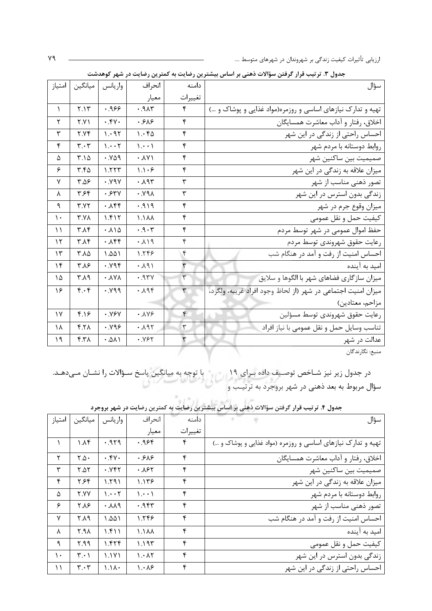| جناون ٠. ترتيب ترار الرئين سواءت تاسي بر اساس بيسترين رئياتيت |              | تسریں رسایت در سہر توسیسہ       |                                        |                               |               |
|---------------------------------------------------------------|--------------|---------------------------------|----------------------------------------|-------------------------------|---------------|
| سؤال                                                          | دامنه        | انحراف                          | واريانس                                | ميانگين                       | امتياز        |
|                                                               | تغييرات      | معيار                           |                                        |                               |               |
| تهیه و تدارک نیازهای اساسی و روزمره(مواد غذایی و پوشاک و …)   | ۴            | 71.9.1                          | ۹۶۶.۰                                  | Y.1Y                          | $\lambda$     |
| اخلاق، رفتار و آداب معاشرت همسایگان                           | ۴            | .588                            | .44.4                                  | <b>٢.٧١</b>                   | ٢             |
| احساس راحتی از زندگی در این شهر                               | ۴            | 1.66                            | 1.41                                   | Y.YY                          | ٣             |
| روابط دوستانه با مردم شهر                                     | ۴            | $\langle \cdots \rangle$        | 1.1.7                                  | $\mathbf{r} \cdot \mathbf{r}$ | ۴             |
| صميميت بين ساكنين شهر                                         | ۴            | $\cdot \lambda \vee \wedge$     | .809                                   | ۳.۱۵                          | ۵             |
| میزان علاقه به زندگی در این شهر                               | ۴            | $\backslash \backslash \cdot$ ۶ | 1.557                                  | 4.50                          | ۶             |
| تصور ذهنی مناسب از شهر                                        | ٣            | .195                            | .19Y                                   | ۴.۵۶                          | ٧             |
| زندگی بدون استرس در این شهر                                   | ٣            | $\Lambda$ PY.                   | .54                                    | ٣.۶۴                          | λ             |
| ميزان وقوع جرم در شهر                                         | ۴            | 919.1                           | $. \lambda$ ۴۴                         | Y.YY                          | ٩             |
| كيفيت حمل و نقل عمومي                                         | ۴            | $\lambda \Lambda$               | 1.515                                  | $Y.Y\Lambda$                  | $\mathcal{L}$ |
| حفظ اموال عمومی در شهر توسط مردم                              | ۴            | .9.7                            | $. \lambda \backslash \Delta$          | $\uparrow \Lambda \uparrow$   | ۱۱            |
| رعايت حقوق شهروندى توسط مردم                                  | ۴            | .119                            | ۰.۸۴۴                                  | ۳.۸۴                          | ۱۲            |
| احساس امنیت از رفت و آمد در هنگام شب                          | ۴            | 1.548                           | 1.001                                  | ۲.۸۵                          | $\gamma$      |
| امید به آینده                                                 | ٣            | 4.191                           | .894                                   | ۳.۸۶                          | ۱۴            |
| میزان سازگاری فضاهای شهر با الگوها و سلایق                    | $\mathsf{r}$ | $Y^{\mu}P.$                     | $\cdot$ $\lambda$ Y $\lambda$          | ۳.۸۹                          | ١۵            |
| ميزان امنيت اجتماعي در شهر (از لحاظ وجود افراد غريبه، ولگرد،  | ٣            | .195                            | .199                                   | $f.\cdot f$                   | ۱۶            |
| مزاحم، معتادين)                                               |              |                                 |                                        |                               |               |
| رعايت حقوق شهروندى توسط مسؤلين                                | ۴            | .119                            | .99V                                   | 4.19                          | $\gamma$      |
| تناسب وسايل حمل و نقل عمومي با نياز افراد                     | $\mathsf{r}$ | .191                            | .899.                                  | Y.Y                           | ۱۸            |
| عدالت در شهر                                                  | ٣            | .195                            | $\cdot$ . $\Delta$ $\Lambda$ $\Lambda$ | ۴.۳۸                          | ۱۹            |
| منبع: نگارندگان                                               |              |                                 |                                        |                               |               |

حدول ۳. تر تیب قرار گرفتن سؤالات ذهنی بر اساس بیشترین رضایت به کمترین رضایت در شهر کوهدشت

 $\overline{\phantom{a}}$ 

در جدول زیر نیز شـاخص توصـیف داده بـرای ۱۹<br>سؤال مربوط به بعد ذهنی در شهر بروجرد به ترتیـب و

| امتياز    | ميانگين                       | واريانس               | انحراف                          | دامنه   | سؤال                                                         |
|-----------|-------------------------------|-----------------------|---------------------------------|---------|--------------------------------------------------------------|
|           |                               |                       | معيار                           | تغييرات |                                                              |
|           | ۱.۸۴                          | .979                  | ٬۹۶۴                            | ۴       | تهیه و تدارک نیازهای اساسی و روزمره (مواد غذایی و پوشاک و …) |
| ۲         | $Y.\Delta$                    | .54.                  | .589                            | ۴       | اخلاق، رفتار و آداب معاشرت همسايگان                          |
| ٣         | $Y\Delta Y$                   | .784                  | .185                            | ۴       | صميميت بين ساكنين شهر                                        |
| ۴         | ۶۴.۶۴                         | ۱.۲۹۱                 | ۱.۱۳۶                           | ۴       | میزان علاقه به زندگی در این شهر                              |
| Δ         | ۲.YY                          | $1 \cdot \cdot 7$     | $\langle \cdots \rangle$        | ۴       | روابط دوستانه با مردم شهر                                    |
| ۶         | ۲.۸۶                          | $. \lambda \lambda$ ۹ | ۹۴۳.                            | ۴       | تصور ذهنی مناسب از شهر                                       |
| ٧         | ۴۸۹                           | ۱.۵۵۱                 | ۱.۲۴۶                           | ۴       | احساس امنیت از رفت و آمد در هنگام شب                         |
| $\lambda$ | 7.۹۸                          | ۱.۴۱۱                 | ۸۸۸.۱                           | ۴       | امید به آینده                                                |
| ٩         | ۴.۹۹                          | ۱.۴۲۴                 | ۱.۱۹۳                           | ۴       | كيفيت حمل و نقل عمومي                                        |
| ١.        | $\mathbf{r} \cdot \mathbf{1}$ | 1.1Y1                 | $\mathcal{N} \cdot \mathcal{N}$ | ۴       | زندگی بدون استرس در این شهر                                  |
| ۱۱.       | $\mathbf{r} \cdot \mathbf{r}$ | $\Lambda$ /           | $\lambda \cdot \lambda$ ۶       | ۴       | احساس راحتی از زندگی در این شهر                              |

جدول ۴. ترتیب قرار گرفتن سؤالات ذهنی بر اساس بیشترین رضایت به کمترین رضایت در شهر بروجرد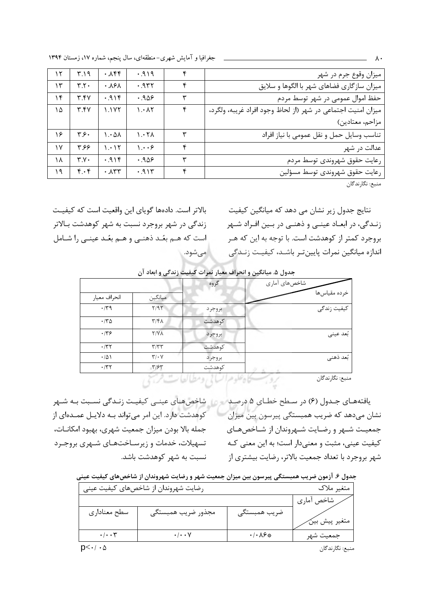جغرافیا و آمایش شهری-منطقهای، سال پنجم، شماره ۱۷، زمستان ۱۳۹۴

| ۱۲ | ۳۱۹                       | $. \lambda$ ۴۴                 | .919                            | ۴ | میزان وقوع جرم در شهر                                        |
|----|---------------------------|--------------------------------|---------------------------------|---|--------------------------------------------------------------|
| ۱۳ | $\mathbf{r}.\mathbf{r}$ . | .19 <sub>A</sub>               | .944                            | ۴ | میزان سازگاری فضاهای شهر با الگوها و سلایق                   |
| ۱۴ | ۳.۴۷                      | .919                           | .909                            | ٣ | حفظ اموال عمومی در شهر توسط مردم                             |
| ١۵ | Y.5V                      | ۱.۱۷۲                          | $\mathcal{N} \cdot \mathcal{N}$ | ۴ | ميزان امنيت اجتماعي در شهر (از لحاظ وجود افراد غريبه، ولگرد، |
|    |                           |                                |                                 |   | مزاحم، معتادين)                                              |
| ۱۶ | ۳۶۰                       | $\lambda \cdot \Delta \lambda$ | 1.57 <sub>A</sub>               | ٣ | تناسب وسایل حمل و نقل عمومی با نیاز افراد                    |
| ۱۷ | ۶۶ ۳                      | ۱.۰۱۲                          | $\cdots$                        | ۴ | عدالت در شهر                                                 |
| ۱۸ | $Y. Y \cdot$              | .916                           | ۰.۹۵۶                           | ٣ | رعايت حقوق شهروندى توسط مردم                                 |
| ۱۹ | $f \cdot f$               | $\cdot \lambda$ ۳۳             | .915                            | ۴ | رعايت حقوق شهروندى توسط مسؤلين                               |

منبع: نگارندگان

نتایج جدول زیر نشان مے دھد که میانگین کیفیت زنـدگی، در ابعـاد عينـی و ذهنـی در بـين افـراد شـهر بروجرد کمتر از کوهدشت است. با توجه به این که هـر اندازه میانگین نمرات پایینتر باشـد، کیفیـت زنـدگی

بالاتر است. دادهها گویای این واقعیت است که کیفیت زندگی در شهر بروجرد نسبت به شهر کوهدشت بـالاتر است که هـم بعُـد ذهنـی و هـم بعُـد عینـی را شـامل ً مے شود.

جدول ۵. میانگین و انحراف معیار نمرات کیفیت زندگی و ابعاد آن

| شاخصهاي أماري | گروه   |                              |                |
|---------------|--------|------------------------------|----------------|
| خرده مقياسها  |        | ميانگين                      | انحراف معيار   |
| کیفیت زندگی   | بروجرد | Y/97                         | $\cdot$ /٣٩    |
|               | كوهدشت | $\mathcal{N}/\mathcal{F}$    | $\cdot$ /٣۵    |
| بُعد عيني     | بروجرد | <b>T/VA</b>                  | .779           |
|               | كوهدشت | $\tau/\tau\tau$              | $\cdot$ /٣٢    |
| بُعد ذهني     | بروجرد | $\mathbf{Y}/\cdot\mathbf{V}$ | $\cdot/\Delta$ |
|               | كوهدشت | T/5T                         | $\cdot$ /٣٢    |
| .             |        |                              |                |

مروب كادعلوم الساني ومطالعات فرجي منبع: نگارندگان

یافتههـای جـدول (۶) در سـطح خطـای ۵ درصـد می از شاخصهـای عینـی کیفیـت زنـدگی نسـبت بـه شـهر کوهدشت دارد. این امر میتواند بـه دلایـل عمـدهای از جمله بالا بودن ميزان جمعيت شهري، بهبود امكانــات، تسهیلات، خدمات و زیرسـاختهـای شـهری بروجـرد نسبت به شهر کوهدشت باشد.

نشان میدهد که ضریب همبستگی پیرسون بین میزان جمعیـت شـهر و رضـایت شـهروندان از شـاخصهـای کیفیت عینی، مثبت و معنیدار است؛ به این معنی کـه شهر بروجرد با تعداد جمعیت بالاتر، رضایت بیشتری از

جدول ۶. آزمون ضریب همبستگی پیرسون بین میزان جمعیت شهر و رضایت شهروندان از شاخصهای کیفیت عینی

|                              | رضایت شهروندان از شاخصهای کیفیت عینی |                          | متغير ملاك    |
|------------------------------|--------------------------------------|--------------------------|---------------|
|                              |                                      |                          | ر شاخص آماري  |
| سطح معناداري                 | مجذور ضريب همبستگي                   | ضريب همبستگى             | متغير پيش بين |
|                              |                                      |                          |               |
| $\cdot/\cdot\cdot\mathsf{y}$ | $\cdot/\cdot\cdot$ Y                 | $\cdot/\cdot \lambda$ ۶* | جمعيت شهر     |

منبع: نگارندگان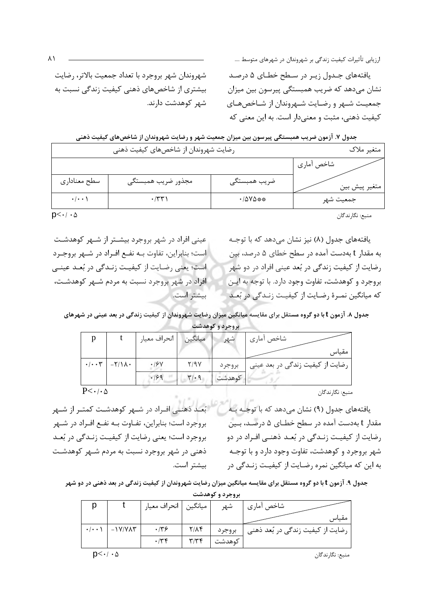یافتههای جـدول زیـر در سـطح خطـای ۵ درصـد نشان میدهد که ضریب همبستگی پیرسون بین میزان جمعیت شـهر و رضـایت شـهروندان از شـاخصهـای کیفیت ذهنی، مثبت و معنی دار است. به این معنی که

شهروندان شهر بروجرد با تعداد جمعیت بالاتر، رضایت بیشتری از شاخصهای ذهنی کیفیت زندگی نسبت به شهر كوهدشت دارند.

|                    | جدول ۷. آزمون ضریب همبستگی پیرسون بین میزان جمعیت شهر و رضایت شهروندان از شاخصهای کیفیت ذهنی |                                  |               |  |  |  |  |
|--------------------|----------------------------------------------------------------------------------------------|----------------------------------|---------------|--|--|--|--|
|                    | رضایت شهروندان از شاخصهای کیفیت ذهنی                                                         |                                  |               |  |  |  |  |
|                    |                                                                                              |                                  | شاخص أماري    |  |  |  |  |
| سطح معناداري       | مجذور ضريب همبستگي                                                                           | ضريب همبستگي                     | متغير پيش بين |  |  |  |  |
| $\cdot/\cdot\cdot$ | $\cdot$ /۳۳)                                                                                 | $\cdot$ / $\Delta$ Y $\Delta$ ** | جمعيت شهر     |  |  |  |  |

 $D<\cdot/\cdot \Delta$ 

عینی افراد در شهر بروجرد بیشتر از شـهر کوهدشـت است؛ بنابراین، تفاوت بـه نفـع افـراد در شـهر بروجـرد است؛ یعنی رضایت از کیفیـت زنـدگی در بُعـد عینـی افراد در شهر بروجرد نسبت به مردم شـهر کوهدشـت، بيشتر است.

بُعـد ذهنــی افــراد در شــهر کوهدشــت کمتــر از شــهر

بروجرد است؛ بنابراین، تفـاوت بــه نفــع افــراد در شــهر بروجرد است؛ یعنی رضایت از کیفیـت زنـدگی در بُعـد

ذهنی در شهر بروجرد نسبت به مردم شـهر کوهدشـت

یافتههای جدول (۸) نیز نشان میدهد که با توجـه به مقدار t بهدست آمده در سطح خطای ۵ درصد، بین رضایت از کیفیت زندگی در بُعد عینی افراد در دو شهر بروجرد و كوهدشت، تفاوت وجود دارد. با توجه به ايـن كه ميانگين نمـرهٔ رضـايت از كيفيـت زنـدگي در بُعـد

جدول ۸. آزمون t با دو گروه مستقل برای مقایسه میانگین میزان رضایت شهروندان از کیفیت زندگی در بعد عینی در شهرهای بروجرد وكوهدشت

|                              |                                              |              |                               | $\overline{\phantom{a}}$ |                                  |
|------------------------------|----------------------------------------------|--------------|-------------------------------|--------------------------|----------------------------------|
|                              |                                              | انحراف معيار | ميانگين                       | شهر                      | شاخص آماري                       |
|                              |                                              |              |                               |                          | مقياس                            |
|                              | $\cdot/\cdot\cdot\tau$ - $\tau/\lambda\cdot$ | .19Y         | 7/9 V                         | بروجرد                   | رضایت از کیفیت زندگی در بعد عینی |
|                              |                                              | .199         | $\mathbf{r} \cdot \mathbf{q}$ | كوهدشت                   |                                  |
| $P<\cdot$ / $\cdot$ $\Delta$ |                                              |              |                               |                          |                                  |

منبع: نگارندگان

منبع: نگارندگان

یافتههای جدول (۹) نشان می دهد که با توجـه بـه مقدار t بهدست آمده در سطح خطـای ۵ درصـد، بـین رضایت از کیفیـت زنـدگی در بُعـد ذهنـی افـراد در دو شهر بروجرد و کوهدشت، تفاوت وجود دارد و با توجـه به این که میانگین نمره رضـایت از کیفیـت زنـدگی در

جدول ۹. آزمون t با دو گروه مستقل برای مقایسه میانگین میزان رضایت شهروندان از کیفیت زندگی در بعد ذهنی در دو شهر

بيشتر است.

| بروجرد و دوهدست     |                           |             |               |                        |                                   |  |  |
|---------------------|---------------------------|-------------|---------------|------------------------|-----------------------------------|--|--|
|                     |                           |             |               | شهر                    | شاخص آماري                        |  |  |
|                     |                           |             |               |                        | مقياس                             |  |  |
| $\cdot$ / $\cdot$ \ | $-1$ Y/Y $\Lambda$ $\tau$ | .79         | $Y/\Lambda f$ | بروجرد                 | رضایت از کیفیت زندگی در بُعد ذهنی |  |  |
|                     |                           | $\cdot$ /۳۴ | WIWE          | كوهدشت                 |                                   |  |  |
|                     |                           |             |               | ميانگين   انحراف معيار |                                   |  |  |

منبع: نگارندگان

 $D<\cdot/\cdot \Delta$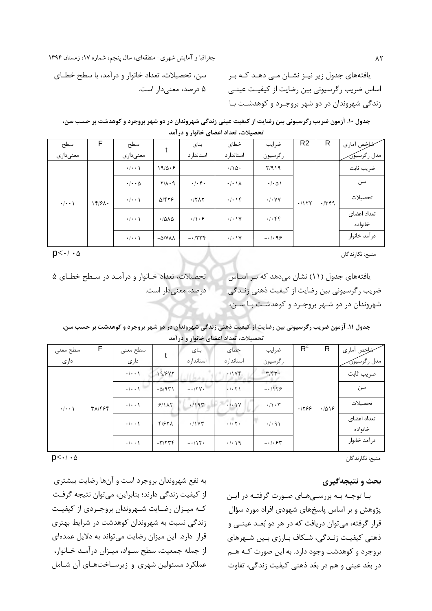جغرافیا و آمایش شهری-منطقهای، سال پنجم، شماره ۱۷، زمستان ۱۳۹۴

یافتههای جدول زیر نیـز نشـان مـی دهـد کـه بـر اساس ضریب رگرسیونی بین رضایت از کیفیـت عینـی زندگی شهروندان در دو شهر بروجـرد و کوهدشـت بـا

سن، تحصیلات، تعداد خانوار و درآمد، با سطح خطـای ۵ درصد، معنیدار است.

جدول ۱۰. آزمون ضریب رگرسیونی بین رضایت از کیفیت عینی زندگی شهروندان در دو شهر بروجرد و کوهدشت بر حسب سن، تحصیلات، تعداد اعضای خانوار و در آمد

| سطح                 | F.       | سطح                        | t                                   | بتای                  | خطای                            | ضرايب                             | R <sub>2</sub> | R    | شاخص أماري             |
|---------------------|----------|----------------------------|-------------------------------------|-----------------------|---------------------------------|-----------------------------------|----------------|------|------------------------|
| معنىدارى            |          | معنىدارى                   |                                     | استاندار د            | استاندار د                      | رگرسيون                           |                |      | مدل رگرسيون            |
| $\cdot$ / $\cdot$ \ | $18/8$ . | $\cdot/\cdot\cdot$         | 19/0.9                              |                       | $\cdot/\Delta$ .                | Y/919                             | .1157          | .779 | ضريب ثابت              |
|                     |          | $\cdot$ / $\cdot$ $\Delta$ | $-\Gamma/\Lambda \cdot \mathcal{A}$ | $-1$ . $\uparrow$ .   | $\cdot/\cdot \setminus \Lambda$ | $-\cdot/\cdot \Delta$             |                |      | سن                     |
|                     |          | $\cdot/\cdot\cdot$         | $\Delta$ /۴۲۶                       | $\cdot$ /٢ $\wedge$ ٢ | $\cdot/\cdot$ ) $\uparrow$      | $\cdot$ / $\cdot$ YY              |                |      | تحصيلات                |
|                     |          | $\cdot/\cdot\cdot$         | .7812                               | $\cdot/\cdot$ ۶       | $\cdot$ / $\cdot$ \Y            | $.$ $\cdot$ $\uparrow$ $\uparrow$ |                |      | تعداد اعضاى<br>خانواده |
|                     |          | $\cdot$   $\cdot$ \        | $-\Delta$ /YAA                      | $-1779$               | $\cdot$ / $\cdot$ \Y            | $-1.99$                           |                |      | درآمد خانوار           |

 $D<\cdot/\cdot \Delta$ 

تحصیلات، تعداد خـانوار و درآمـد در سـطح خطـای ۵ یافتههای جدول (١١) نشان می دهد که بر اساس ضریب رگرسیونی بین رضایت از کیفیت ذهنی زنـدگی درصد، معنی دار است. شهروندان در دو شـهر بروجـرد و کوهدشـت بـا سـن،

|  | جدول ۱۱. آزمون ضریب رگرسیونی بین رضایت از کیفیت ذهنی زندگی شهروندان در دو شهر بروجرد و کوهدشت بر حسب سن |                                      |  |  |
|--|---------------------------------------------------------------------------------------------------------|--------------------------------------|--|--|
|  |                                                                                                         | تحصیلات، تعداد اعضای خانوار و در آمد |  |  |

| سطح معنى           | F      | سطح معنى            |                  | بتای       | خطاى                           | ضرايب                     | $R^2$ | R     | شاخص أماري             |
|--------------------|--------|---------------------|------------------|------------|--------------------------------|---------------------------|-------|-------|------------------------|
| دارى               |        | دارى                |                  | استاندار د | استاندار د                     | رگرسيون                   |       |       | مدل رگرسيون            |
| $\cdot/\cdot\cdot$ | ٣٨/۴۶۴ | $\cdot$ / $\cdot$ ) | 19/845           |            | .11YF                          | $\mathbf{r}/\mathbf{r}$ . | .1799 | .7019 | ضريب ثابت              |
|                    |        | $\cdot$   $\cdot$ \ | $-\Delta$ /9٣١   | $-17V$     | $\cdot$ / $\cdot$ $\uparrow$ \ | $-1159$                   |       |       | سن                     |
|                    |        | $\cdot$   $\cdot$ \ | 9/1AT            | .1195      | $\cdot$ / $\cdot$ )Y           | $\cdot/\cdot$ ٣           |       |       | تحصيلات                |
|                    |        | $\cdot/\cdot\cdot$  | F/FY             | .11Y       | $\cdot$ / $\cdot$ $\cdot$      | $\cdot$ / $\cdot$ 9)      |       |       | تعداد اعضاى<br>خانواده |
|                    |        | $\cdot$   $\cdot$ \ | $-\tau/\tau\tau$ | $-115$     | $\cdot/\cdot$ 19               | $-1.54$                   |       |       | در آمد خانوار          |

منبع: نگارندگان

منبع: نگارندگان

بحث و نتيجهگيري

بـا توجـه بـه بررسـي هـاي صـورت گرفتـه در ايـن پژوهش و بر اساس پاسخهای شهودی افراد مورد سؤال قرار گرفته، می توان دریافت که در هر دو بُعـد عینــی و ذهنی کیفیت زنـدگی، شـکاف بـارزی بـین شــهرهای بروجرد و کوهدشت وجود دارد. به این صورت کـه هـم در بعُد عيني و هم در بعُد ذهني كيفيت زندگي، تفاوت

 $p<\cdot/\cdot \Delta$ 

به نفع شهروندان بروجرد است و آنها رضايت بيشترى از كيفيت زندگي دارند؛ بنابراين، مي توان نتيجه گرفت كـه ميـزان رضـايت شـهروندان بروجـردي از كيفيـت زندگی نسبت به شهروندان کوهدشت در شرایط بهتری قرار دارد. این میزان رضایت می تواند به دلایل عمدهای از جمله جمعیت، سطح سـواد، میـزان درآمـد خـانوار، عملکرد مسئولین شهری و زیرساختهای آن شامل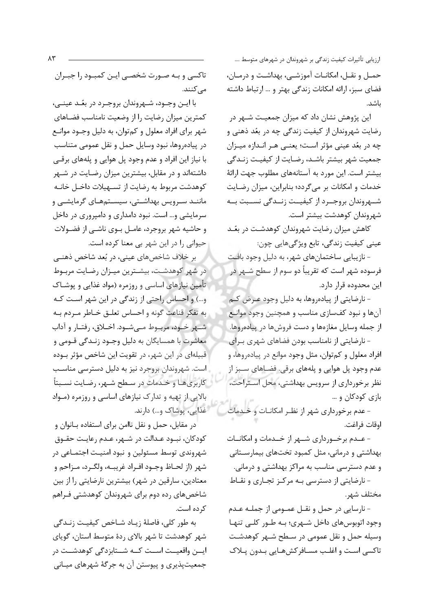حمــل و نقــل، امكانــات آموزشــي، بهداشــت و درمــان، فضای سبز، ارائه امکانات زندگی بهتر و … ارتباط داشته ىاشد.

این پژوهش نشان داد که میزان جمعیـت شـهر در رضایت شهروندان از کیفیت زندگی چه در بعُد ذهنی و چه در بعُد عینی مؤثر است؛ یعنـی هـر انـدازه میـزان جمعیت شهر بیشتر باشـد، رضـایت از کیفیـت زنـدگی بیشتر است. این مورد به آستانههای مطلوب جهت ارائهٔ خدمات و امکانات بر میگردد؛ بنابراین، میزان رضایت شــهروندان بروجــرد از كيفيــت زنــدگي نســبت بــه شهروندان كوهدشت بيشتر است.

کاهش میزان رضایت شهروندان کوهدشت در بعٌـد عيني کيفيت زندگي، تابع ويژگيهايي چون:

- نازیبایی ساختمانهای شهر، به دلیل وجود بافت فرسوده شهر است که تقریباً دو سوم از سطح شـهر در این محدوده قرار دارد.

- نارضایتی از پیادهروها، به دلیل وجود عـرض کـم آنها و نبود کفسازی مناسب و همچنین وجود موانع از جمله وسایل مغازمها و دست فروشها در پیادمروها.

- نارضایتی از نامناسب بودن فضاهای شهری بـرای افراد معلول و کمتوان، مثل وجود موانع در پیاده روها، و عدم وجود پل هوايي و پلههاي برقي. فضـاهاي ســبز از نظر برخورداری از سرویس بهداشتی، محل استراحت، بازی کودکان و ...

- عدم برخورداری شهر از نظـر امکانــات و خــدمات اوقات فراغت.

- عــدم برخــورداري شــهر از خــدمات و امكانــات بهداشتی و درمانی، مثل کمبود تختهای بیمارسـتانی و عدم دسترسی مناسب به مراکز بهداشتی و درمانی.

- نارضایتی از دسترسی بـه مرکـز تجـاری و نقـاط مختلف شهر.

- نارسایی در حمل و نقـل عمـومی از جملـه عـدم وجود اتوبوسهای داخل شـهری؛ بـه طـور کلـی تنهـا وسیله حمل و نقل عمومی در سطح شـهر کوهدشـت تاكسي است و اغلب مسـافركشهـايي بـدون پـلاک

تاکسی و بـه صـورت شخصـی ایـن کمبـود را جبـران مے کنند.

با ايـن وجـود، شـهروندان بروجـرد در بعُـد عينـي، كمترين ميزان رضايت را از وضعيت نامناسب فضـاهاى شهر برای افراد معلول و کمتوان، به دلیل وجــود موانــع در پیادهروها، نبود وسایل حمل و نقل عمومی متناسب با نیاز این افراد و عدم وجود پل هوایی و پلههای برقبی داشتهاند و در مقابل، بیشترین میزان رضـایت در شـهر كوهدشت مربوط به رضايت از تسـهيلات داخـل خانـه ماننـد سـرویس بهداشـتی، سیسـتمهـای گرمایشـی و سرمایشی و… است. نبود دامداری و دامپروری در داخل و حاشیه شهر بروجرد، عامـل بــوی ناشــی از فضــولات حیوانی را در این شهر بی معنا کرده است.

بر خلاف شاخصهای عینی، در بُعد شاخص ذهنـی در شهر کوهدشت، بیشـترین میـزان رضـایت مربـوط تأمین نیازهای اساسی و روزمره (مواد غذایی و پوشـاک و…) و احساس راحتی از زندگی در این شهر است کـه به تفكر قناعت گونه و احساس تعلـق خـاطر مـردم بـه شـهر خـود، مربـوط مـیشـود. اخـلاق، رفتـار و آداب .<br>معاشرت با همسایگان به دلیل وجـود زنـدگی قـومی و قبیلهای در این شهر، در تقویت این شاخص مؤثر بوده است. شهروندان بروجرد نیز به دلیل دسترسی مناسب كاربري هـا و خـدمات در سـطح شـهر، رضـايت نسـبتاً بالایی از تهیه و تدارک نیازهای اساسی و روزمره (مواد غذايي، پوشاک و...) دارند.

در مقابل، حمل و نقل ناامن برای استفاده بـانوان و كودكان، نبـود عـدالت در شـهر، عـدم رعايـت حقـوق شهروندي توسط مسئولين و نبود امنيـت اجتمـاعي در شهر (از لحـاظ وجـود افـراد غريبــه، ولگـرد، مـزاحم و معتادین، سارقین در شهر) بیشترین نارضایتی را از بین شاخصهای رده دوم برای شهروندان کوهدشتی فـراهم کرده است.

به طور كلي، فاصلهٔ زيـاد شـاخص كيفيـت زنـدگي شهر کوهدشت تا شهر بالای ردهٔ متوسط استان، گویای ايـــن واقعيــت اســت كـــه شـــتابزدگي كوهدشــت در جمعیتپذیری و پیوستن آن به جرگهٔ شهرهای میـانی